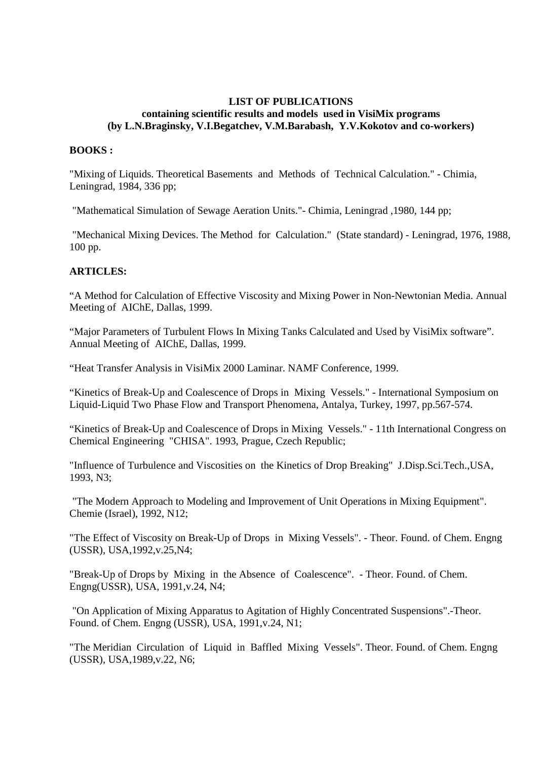## **LIST OF PUBLICATIONS containing scientific results and models used in VisiMix programs (by L.N.Braginsky, V.I.Begatchev, V.M.Barabash, Y.V.Kokotov and co-workers)**

## **BOOKS :**

"Mixing of Liquids. Theoretical Basements and Methods of Technical Calculation." - Chimia, Leningrad, 1984, 336 pp;

"Mathematical Simulation of Sewage Aeration Units."- Chimia, Leningrad ,1980, 144 pp;

 "Mechanical Mixing Devices. The Method for Calculation." (State standard) - Leningrad, 1976, 1988, 100 pp.

## **ARTICLES:**

"A Method for Calculation of Effective Viscosity and Mixing Power in Non-Newtonian Media. Annual Meeting of AIChE, Dallas, 1999.

"Major Parameters of Turbulent Flows In Mixing Tanks Calculated and Used by VisiMix software". Annual Meeting of AIChE, Dallas, 1999.

"Heat Transfer Analysis in VisiMix 2000 Laminar. NAMF Conference, 1999.

"Kinetics of Break-Up and Coalescence of Drops in Mixing Vessels." - International Symposium on Liquid-Liquid Two Phase Flow and Transport Phenomena, Antalya, Turkey, 1997, pp.567-574.

"Kinetics of Break-Up and Coalescence of Drops in Mixing Vessels." - 11th International Congress on Chemical Engineering "CHISA". 1993, Prague, Czech Republic;

"Influence of Turbulence and Viscosities on the Kinetics of Drop Breaking" J.Disp.Sci.Tech.,USA, 1993, N3;

 "The Modern Approach to Modeling and Improvement of Unit Operations in Mixing Equipment". Chemie (Israel), 1992, N12;

"The Effect of Viscosity on Break-Up of Drops in Mixing Vessels". - Theor. Found. of Chem. Engng (USSR), USA,1992,v.25,N4;

"Break-Up of Drops by Mixing in the Absence of Coalescence". - Theor. Found. of Chem. Engng(USSR), USA, 1991,v.24, N4;

 "On Application of Mixing Apparatus to Agitation of Highly Concentrated Suspensions".-Theor. Found. of Chem. Engng (USSR), USA, 1991,v.24, N1;

"The Meridian Circulation of Liquid in Baffled Mixing Vessels". Theor. Found. of Chem. Engng (USSR), USA,1989,v.22, N6;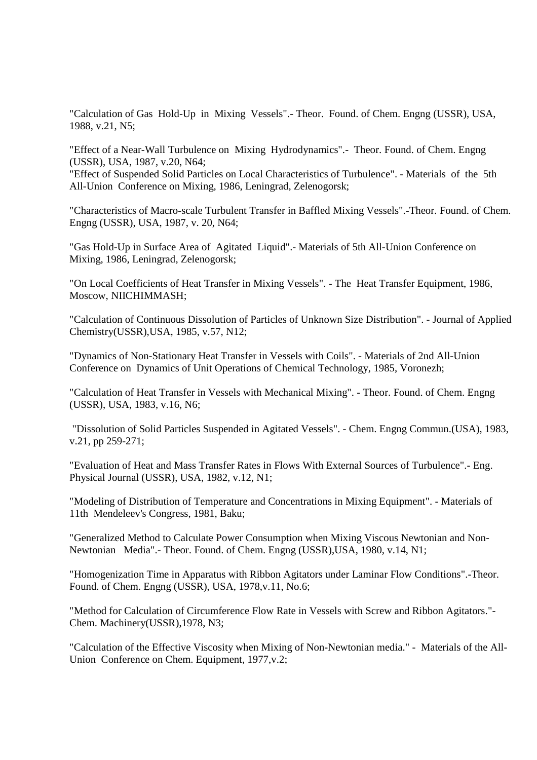"Calculation of Gas Hold-Up in Mixing Vessels".- Theor. Found. of Chem. Engng (USSR), USA, 1988, v.21, N5;

"Effect of a Near-Wall Turbulence on Mixing Hydrodynamics".- Theor. Found. of Chem. Engng (USSR), USA, 1987, v.20, N64;

"Effect of Suspended Solid Particles on Local Characteristics of Turbulence". - Materials of the 5th All-Union Conference on Mixing, 1986, Leningrad, Zelenogorsk;

"Characteristics of Macro-scale Turbulent Transfer in Baffled Mixing Vessels".-Theor. Found. of Chem. Engng (USSR), USA, 1987, v. 20, N64;

"Gas Hold-Up in Surface Area of Agitated Liquid".- Materials of 5th All-Union Conference on Mixing, 1986, Leningrad, Zelenogorsk;

"On Local Coefficients of Heat Transfer in Mixing Vessels". - The Heat Transfer Equipment, 1986, Moscow, NIICHIMMASH;

"Calculation of Continuous Dissolution of Particles of Unknown Size Distribution". - Journal of Applied Chemistry(USSR),USA, 1985, v.57, N12;

"Dynamics of Non-Stationary Heat Transfer in Vessels with Coils". - Materials of 2nd All-Union Conference on Dynamics of Unit Operations of Chemical Technology, 1985, Voronezh;

"Calculation of Heat Transfer in Vessels with Mechanical Mixing". - Theor. Found. of Chem. Engng (USSR), USA, 1983, v.16, N6;

 "Dissolution of Solid Particles Suspended in Agitated Vessels". - Chem. Engng Commun.(USA), 1983, v.21, pp 259-271;

"Evaluation of Heat and Mass Transfer Rates in Flows With External Sources of Turbulence".- Eng. Physical Journal (USSR), USA, 1982, v.12, N1;

"Modeling of Distribution of Temperature and Concentrations in Mixing Equipment". - Materials of 11th Mendeleev's Congress, 1981, Baku;

"Generalized Method to Calculate Power Consumption when Mixing Viscous Newtonian and Non-Newtonian Media".- Theor. Found. of Chem. Engng (USSR),USA, 1980, v.14, N1;

"Homogenization Time in Apparatus with Ribbon Agitators under Laminar Flow Conditions".-Theor. Found. of Chem. Engng (USSR), USA, 1978,v.11, No.6;

"Method for Calculation of Circumference Flow Rate in Vessels with Screw and Ribbon Agitators."- Chem. Machinery(USSR),1978, N3;

"Calculation of the Effective Viscosity when Mixing of Non-Newtonian media." - Materials of the All-Union Conference on Chem. Equipment, 1977,v.2;